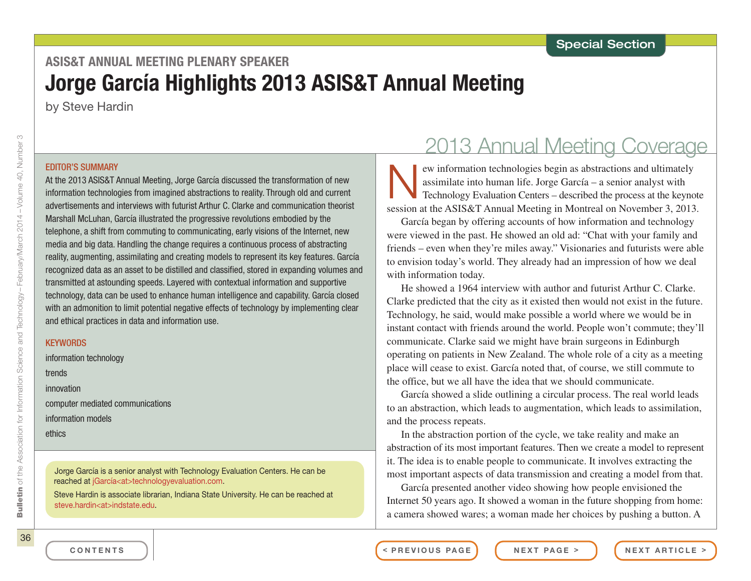## <span id="page-0-0"></span>**ASIS&T ANNUAL MEETING PLENARY SPEAKER Jorge García Highlights 2013 ASIS&T Annual Meeting**

by Steve Hardin

 $_{\rm CO}$ 

### EDITOR'S SUMMARY

At the 2013 ASIS&T Annual Meeting, Jorge García discussed the transformation of new information technologies from imagined abstractions to reality. Through old and current advertisements and interviews with futurist Arthur C. Clarke and communication theorist Marshall McLuhan, García illustrated the progressive revolutions embodied by the telephone, a shift from commuting to communicating, early visions of the Internet, new media and big data. Handling the change requires a continuous process of abstracting reality, augmenting, assimilating and creating models to represent its key features. García recognized data as an asset to be distilled and classified, stored in expanding volumes and transmitted at astounding speeds. Layered with contextual information and supportive technology, data can be used to enhance human intelligence and capability. García closed with an admonition to limit potential negative effects of technology by implementing clear and ethical practices in data and information use.

### KEYWORDS

information technology

trends

innovation

computer mediated communications

information models

ethics

Jorge García is a senior analyst with Technology Evaluation Centers. He can be reached at [jGarcía<at>technologyevaluation.com.](mailto:jGarc�a<at>technologyevaluation.com)

Steve Hardin is associate librarian, Indiana State University. He can be reached at [steve.hardin<at>indstate.edu.](mailto:steve.hardin<at>indstate.edu)

# 2013 Annual Meeting Coverage

EV ew information technologies begin as abstractions and ultimately<br>
assimilate into human life. Jorge García – a senior analyst with<br>
Technology Evaluation Centers – described the process at the keynote<br>
session at the AS assimilate into human life. Jorge García – a senior analyst with session at the ASIS&T Annual Meeting in Montreal on November 3, 2013.

García began by offering accounts of how information and technology were viewed in the past. He showed an old ad: "Chat with your family and friends – even when they're miles away." Visionaries and futurists were able to envision today's world. They already had an impression of how we deal with information today.

He showed a 1964 interview with author and futurist Arthur C. Clarke. Clarke predicted that the city as it existed then would not exist in the future. Technology, he said, would make possible a world where we would be in instant contact with friends around the world. People won't commute; they'll communicate. Clarke said we might have brain surgeons in Edinburgh operating on patients in New Zealand. The whole role of a city as a meeting place will cease to exist. García noted that, of course, we still commute to the office, but we all have the idea that we should communicate.

García showed a slide outlining a circular process. The real world leads to an abstraction, which leads to augmentation, which leads to assimilation, and the process repeats.

In the abstraction portion of the cycle, we take reality and make an abstraction of its most important features. Then we create a model to represent it. The idea is to enable people to communicate. It involves extracting the most important aspects of data transmission and creating a model from that.

García presented another video showing how people envisioned the Internet 50 years ago. It showed a woman in the future shopping from home: a camera showed wares; a woman made her choices by pushing a button. A

**Bulletin** of the Association

**C O N T E N T S < P R E V I O U S PA G E N E X T [PA](#page-1-0) G E > N E X T A R T I C L E >**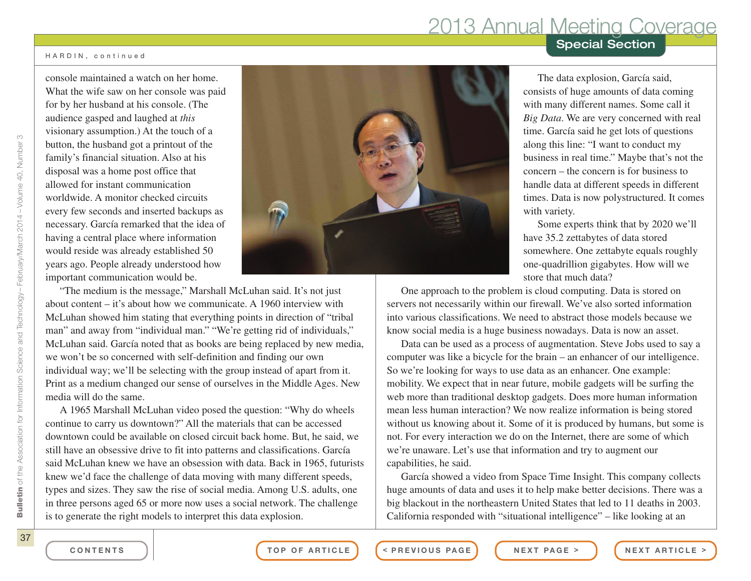# 2013 Annual Meeting Coverage

#### <span id="page-1-0"></span>H A R D I N , continued

console maintained a watch on her home. What the wife saw on her console was paid for by her husband at his console. (The audience gasped and laughed at *this* visionary assumption.) At the touch of a button, the husband got a printout of the family's financial situation. Also at his disposal was a home post office that allowed for instant communication worldwide. A monitor checked circuits every few seconds and inserted backups as necessary. García remarked that the idea of having a central place where information would reside was already established 50 years ago. People already understood how important communication would be.



"The medium is the message," Marshall McLuhan said. It's not just about content – it's about how we communicate. A 1960 interview with McLuhan showed him stating that everything points in direction of "tribal man" and away from "individual man." "We're getting rid of individuals," McLuhan said. García noted that as books are being replaced by new media, we won't be so concerned with self-definition and finding our own individual way; we'll be selecting with the group instead of apart from it. Print as a medium changed our sense of ourselves in the Middle Ages. New media will do the same.

A 1965 Marshall McLuhan video posed the question: "Why do wheels continue to carry us downtown?" All the materials that can be accessed downtown could be available on closed circuit back home. But, he said, we still have an obsessive drive to fit into patterns and classifications. García said McLuhan knew we have an obsession with data. Back in 1965, futurists knew we'd face the challenge of data moving with many different speeds, types and sizes. They saw the rise of social media. Among U.S. adults, one in three persons aged 65 or more now uses a social network. The challenge is to generate the right models to interpret this data explosion.

**Special Section**

The data explosion, García said, consists of huge amounts of data coming with many different names. Some call it *Big Data*. We are very concerned with real time. García said he get lots of questions along this line: "I want to conduct my business in real time." Maybe that's not the concern – the concern is for business to handle data at different speeds in different times. Data is now polystructured. It comes with variety.

Some experts think that by 2020 we'll have 35.2 zettabytes of data stored somewhere. One zettabyte equals roughly one-quadrillion gigabytes. How will we store that much data?

One approach to the problem is cloud computing. Data is stored on servers not necessarily within our firewall. We've also sorted information into various classifications. We need to abstract those models because we know social media is a huge business nowadays. Data is now an asset.

Data can be used as a process of augmentation. Steve Jobs used to say a computer was like a bicycle for the brain – an enhancer of our intelligence. So we're looking for ways to use data as an enhancer. One example: mobility. We expect that in near future, mobile gadgets will be surfing the web more than traditional desktop gadgets. Does more human information mean less human interaction? We now realize information is being stored without us knowing about it. Some of it is produced by humans, but some is not. For every interaction we do on the Internet, there are some of which we're unaware. Let's use that information and try to augment our capabilities, he said.

García showed a video from Space Time Insight. This company collects huge amounts of data and uses it to help make better decisions. There was a big blackout in the northeastern United States that led to 11 deaths in 2003. California responded with "situational intelligence" – like looking at an

**C O N T E N T S T [O](#page-0-0) P O F A R T I C L E < P R E V I O U S [PA](#page-0-0) G E N E X T [PA](#page-2-0) G E > N E X T A R T I C L E >**

37